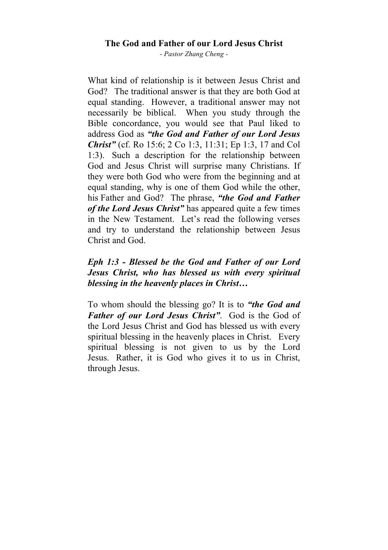## **The God and Father of our Lord Jesus Christ**

*- Pastor Zhang Cheng -*

What kind of relationship is it between Jesus Christ and God? The traditional answer is that they are both God at equal standing. However, a traditional answer may not necessarily be biblical. When you study through the Bible concordance, you would see that Paul liked to address God as *"the God and Father of our Lord Jesus Christ"* (cf. Ro 15:6; 2 Co 1:3, 11:31; Ep 1:3, 17 and Col 1:3). Such a description for the relationship between God and Jesus Christ will surprise many Christians. If they were both God who were from the beginning and at equal standing, why is one of them God while the other, his Father and God? The phrase, *"the God and Father of the Lord Jesus Christ"* has appeared quite a few times in the New Testament. Let's read the following verses and try to understand the relationship between Jesus Christ and God.

## *Eph 1:3 - Blessed be the God and Father of our Lord Jesus Christ, who has blessed us with every spiritual blessing in the heavenly places in Christ…*

To whom should the blessing go? It is to *"the God and Father of our Lord Jesus Christ"*. God is the God of the Lord Jesus Christ and God has blessed us with every spiritual blessing in the heavenly places in Christ. Every spiritual blessing is not given to us by the Lord Jesus. Rather, it is God who gives it to us in Christ, through Jesus.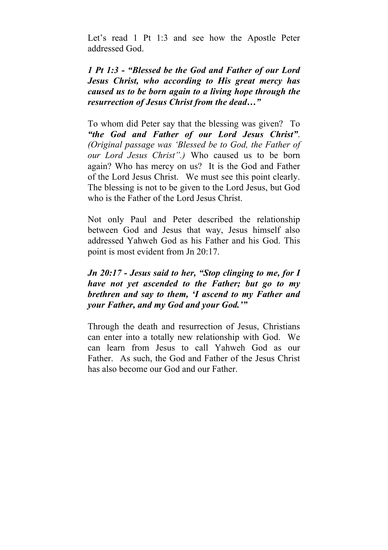Let's read 1 Pt 1:3 and see how the Apostle Peter addressed God.

*1 Pt 1:3 - "Blessed be the God and Father of our Lord Jesus Christ, who according to His great mercy has caused us to be born again to a living hope through the resurrection of Jesus Christ from the dead…"*

To whom did Peter say that the blessing was given? To *"the God and Father of our Lord Jesus Christ"*. *(Original passage was 'Blessed be to God, the Father of our Lord Jesus Christ".)* Who caused us to be born again? Who has mercy on us? It is the God and Father of the Lord Jesus Christ. We must see this point clearly. The blessing is not to be given to the Lord Jesus, but God who is the Father of the Lord Jesus Christ.

Not only Paul and Peter described the relationship between God and Jesus that way, Jesus himself also addressed Yahweh God as his Father and his God. This point is most evident from Jn 20:17.

*Jn 20:17 - Jesus said to her, "Stop clinging to me, for I have not yet ascended to the Father; but go to my brethren and say to them, 'I ascend to my Father and your Father, and my God and your God.'"*

Through the death and resurrection of Jesus, Christians can enter into a totally new relationship with God. We can learn from Jesus to call Yahweh God as our Father. As such, the God and Father of the Jesus Christ has also become our God and our Father.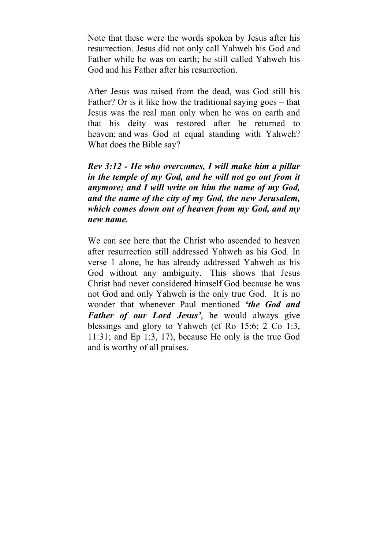Note that these were the words spoken by Jesus after his resurrection. Jesus did not only call Yahweh his God and Father while he was on earth; he still called Yahweh his God and his Father after his resurrection.

After Jesus was raised from the dead, was God still his Father? Or is it like how the traditional saying goes – that Jesus was the real man only when he was on earth and that his deity was restored after he returned to heaven; and was God at equal standing with Yahweh? What does the Bible say?

*Rev 3:12 - He who overcomes, I will make him a pillar in the temple of my God, and he will not go out from it anymore; and I will write on him the name of my God, and the name of the city of my God, the new Jerusalem, which comes down out of heaven from my God, and my new name.*

We can see here that the Christ who ascended to heaven after resurrection still addressed Yahweh as his God. In verse 1 alone, he has already addressed Yahweh as his God without any ambiguity. This shows that Jesus Christ had never considered himself God because he was not God and only Yahweh is the only true God. It is no wonder that whenever Paul mentioned *'the God and Father of our Lord Jesus'*, he would always give blessings and glory to Yahweh (cf Ro 15:6; 2 Co 1:3, 11:31; and Ep 1:3, 17), because He only is the true God and is worthy of all praises.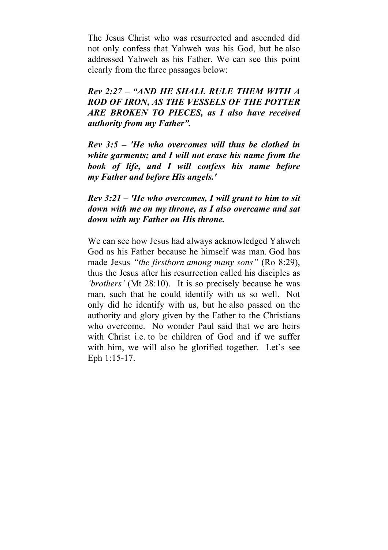The Jesus Christ who was resurrected and ascended did not only confess that Yahweh was his God, but he also addressed Yahweh as his Father. We can see this point clearly from the three passages below:

*Rev 2:27 – "AND HE SHALL RULE THEM WITH A ROD OF IRON, AS THE VESSELS OF THE POTTER ARE BROKEN TO PIECES, as I also have received authority from my Father".*

*Rev 3:5 – 'He who overcomes will thus be clothed in white garments; and I will not erase his name from the book of life, and I will confess his name before my Father and before His angels.'*

## *Rev 3:21 – 'He who overcomes, I will grant to him to sit down with me on my throne, as I also overcame and sat down with my Father on His throne.*

We can see how Jesus had always acknowledged Yahweh God as his Father because he himself was man. God has made Jesus *"the firstborn among many sons"* (Ro 8:29), thus the Jesus after his resurrection called his disciples as *'brothers'* (Mt 28:10). It is so precisely because he was man, such that he could identify with us so well. Not only did he identify with us, but he also passed on the authority and glory given by the Father to the Christians who overcome. No wonder Paul said that we are heirs with Christ i.e. to be children of God and if we suffer with him, we will also be glorified together. Let's see Eph 1:15-17.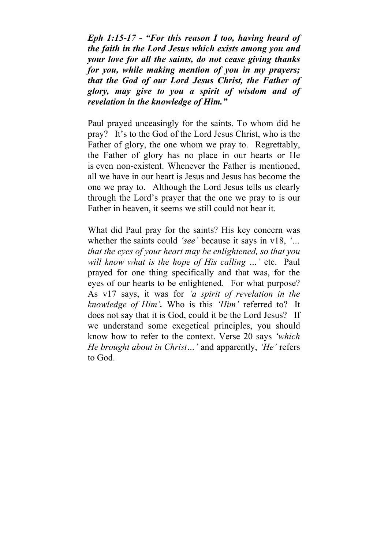*Eph 1:15-17 - "For this reason I too, having heard of the faith in the Lord Jesus which exists among you and your love for all the saints, do not cease giving thanks for you, while making mention of you in my prayers; that the God of our Lord Jesus Christ, the Father of glory, may give to you a spirit of wisdom and of revelation in the knowledge of Him."*

Paul prayed unceasingly for the saints. To whom did he pray? It's to the God of the Lord Jesus Christ, who is the Father of glory, the one whom we pray to. Regrettably, the Father of glory has no place in our hearts or He is even non-existent. Whenever the Father is mentioned, all we have in our heart is Jesus and Jesus has become the one we pray to. Although the Lord Jesus tells us clearly through the Lord's prayer that the one we pray to is our Father in heaven, it seems we still could not hear it.

What did Paul pray for the saints? His key concern was whether the saints could *'see'* because it says in v18, *'… that the eyes of your heart may be enlightened, so that you will know what is the hope of His calling …'* etc. Paul prayed for one thing specifically and that was, for the eyes of our hearts to be enlightened. For what purpose? As v17 says, it was for *'a spirit of revelation in the knowledge of Him'.* Who is this *'Him'* referred to? It does not say that it is God, could it be the Lord Jesus? If we understand some exegetical principles, you should know how to refer to the context. Verse 20 says *'which He brought about in Christ…'* and apparently, *'He'* refers to God.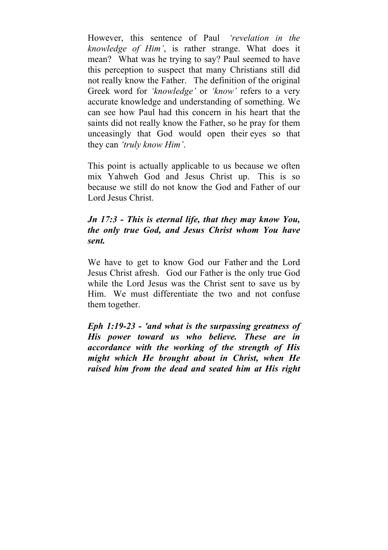However, this sentence of Paul *'revelation in the knowledge of Him'*, is rather strange. What does it mean? What was he trying to say? Paul seemed to have this perception to suspect that many Christians still did not really know the Father. The definition of the original Greek word for *'knowledge'* or *'know'* refers to a very accurate knowledge and understanding of something. We can see how Paul had this concern in his heart that the saints did not really know the Father, so he pray for them unceasingly that God would open their eyes so that they can *'truly know Him'*.

This point is actually applicable to us because we often mix Yahweh God and Jesus Christ up. This is so because we still do not know the God and Father of our Lord Jesus Christ.

## *Jn 17:3 - This is eternal life, that they may know You, the only true God, and Jesus Christ whom You have sent.*

We have to get to know God our Father and the Lord Jesus Christ afresh. God our Father is the only true God while the Lord Jesus was the Christ sent to save us by Him. We must differentiate the two and not confuse them together.

*Eph 1:19-23 - 'and what is the surpassing greatness of His power toward us who believe. These are in accordance with the working of the strength of His might which He brought about in Christ, when He raised him from the dead and seated him at His right*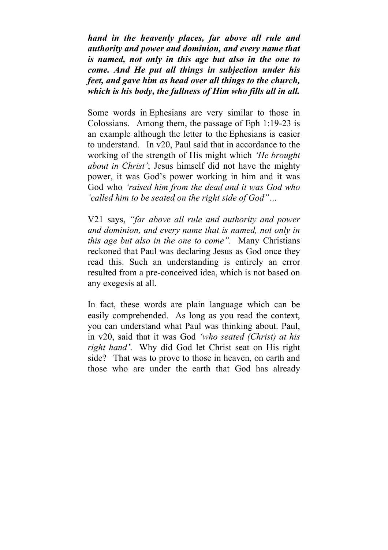*hand in the heavenly places, far above all rule and authority and power and dominion, and every name that is named, not only in this age but also in the one to come. And He put all things in subjection under his feet, and gave him as head over all things to the church, which is his body, the fullness of Him who fills all in all.*

Some words in Ephesians are very similar to those in Colossians. Among them, the passage of Eph 1:19-23 is an example although the letter to the Ephesians is easier to understand. In v20, Paul said that in accordance to the working of the strength of His might which *'He brought about in Christ'*; Jesus himself did not have the mighty power, it was God's power working in him and it was God who *'raised him from the dead and it was God who 'called him to be seated on the right side of God"…*

V21 says, *"far above all rule and authority and power and dominion, and every name that is named, not only in this age but also in the one to come".* Many Christians reckoned that Paul was declaring Jesus as God once they read this. Such an understanding is entirely an error resulted from a pre-conceived idea, which is not based on any exegesis at all.

In fact, these words are plain language which can be easily comprehended. As long as you read the context, you can understand what Paul was thinking about. Paul, in v20, said that it was God *'who seated (Christ) at his right hand'*. Why did God let Christ seat on His right side? That was to prove to those in heaven, on earth and those who are under the earth that God has already